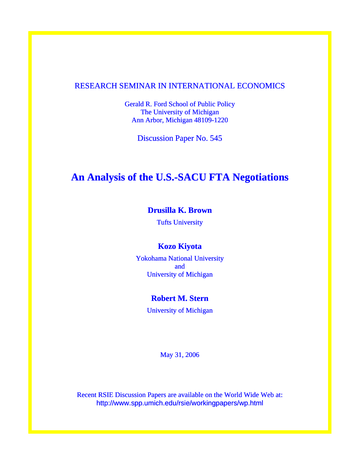# RESEARCH SEMINAR IN INTERNATIONAL ECONOMICS

Gerald R. Ford School of Public Policy The University of Michigan Ann Arbor, Michigan 48109-1220

Discussion Paper No. 545

# **An Analysis of the U.S.-SACU FTA Negotiations**

# **Drusilla K. Brown**

Tufts University

# **Kozo Kiyota**

Yokohama National University and University of Michigan

# **Robert M. Stern**

University of Michigan

May 31, 2006

Recent RSIE Discussion Papers are available on the World Wide Web at: http://www.spp.umich.edu/rsie/workingpapers/wp.html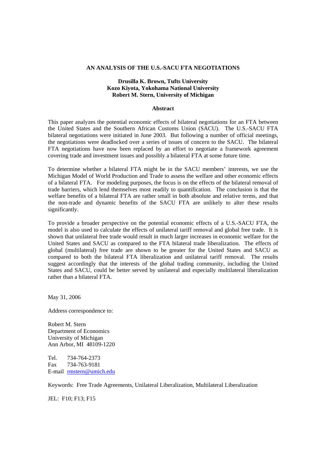#### **AN ANALYSIS OF THE U.S.-SACU FTA NEGOTIATIONS**

# **Drusilla K. Brown, Tufts University Kozo Kiyota, Yokohama National University Robert M. Stern, University of Michigan**

#### **Abstract**

This paper analyzes the potential economic effects of bilateral negotiations for an FTA between the United States and the Southern African Customs Union (SACU). The U.S.-SACU FTA bilateral negotiations were initiated in June 2003. But following a number of official meetings, the negotiations were deadlocked over a series of issues of concern to the SACU. The bilateral FTA negotiations have now been replaced by an effort to negotiate a framework agreement covering trade and investment issues and possibly a bilateral FTA at some future time.

To determine whether a bilateral FTA might be in the SACU members' interests, we use the Michigan Model of World Production and Trade to assess the welfare and other economic effects of a bilateral FTA. For modeling purposes, the focus is on the effects of the bilateral removal of trade barriers, which lend themselves most readily to quantification. The conclusion is that the welfare benefits of a bilateral FTA are rather small in both absolute and relative terms, and that the non-trade and dynamic benefits of the SACU FTA are unlikely to alter these results significantly.

To provide a broader perspective on the potential economic effects of a U.S.-SACU FTA, the model is also used to calculate the effects of unilateral tariff removal and global free trade. It is shown that unilateral free trade would result in much larger increases in economic welfare for the United States and SACU as compared to the FTA bilateral trade liberalization. The effects of global (multilateral) free trade are shown to be greater for the United States and SACU as compared to both the bilateral FTA liberalization and unilateral tariff removal. The results suggest accordingly that the interests of the global trading community, including the United States and SACU, could be better served by unilateral and especially multilateral liberalization rather than a bilateral FTA.

May 31, 2006

Address correspondence to:

Robert M. Stern Department of Economics University of Michigan Ann Arbor, MI 48109-1220

Tel. 734-764-2373 Fax 734-763-9181 E-mail rmstern@umich.edu

Keywords: Free Trade Agreements, Unilateral Liberalization, Multilateral Liberalization

JEL: F10; F13; F15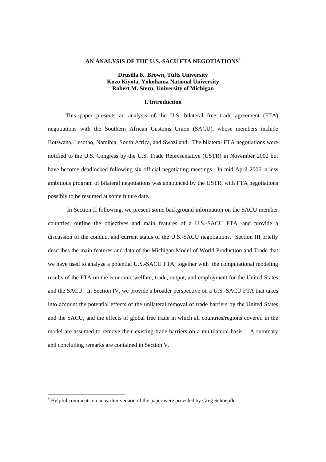#### **AN ANALYSIS OF THE U.S.-SACU FTA NEGOTIATIONS†**

# **Drusilla K. Brown, Tufts University Kozo Kiyota, Yokohama National University Robert M. Stern, University of Michigan**

# **I. Introduction**

This paper presents an analysis of the U.S. bilateral free trade agreement (FTA) negotiations with the Southern African Customs Union (SACU), whose members include Botswana, Lesotho, Namibia, South Africa, and Swaziland. The bilateral FTA negotiations were notified to the U.S. Congress by the U.S. Trade Representative (USTR) in November 2002 but have become deadlocked following six official negotiating meetings. In mid-April 2006, a less ambitious program of bilateral negotiations was announced by the USTR, with FTA negotiations possibly to be resumed at some future date..

In Section II following, we present some background information on the SACU member countries, outline the objectives and main features of a U.S.-SACU FTA, and provide a discussion of the conduct and current status of the U.S.-SACU negotiations. Section III briefly describes the main features and data of the Michigan Model of World Production and Trade that we have used to analyze a potential U.S.-SACU FTA, together with the computational modeling results of the FTA on the economic welfare, trade, output, and employment for the United States and the SACU. In Section IV, we provide a broader perspective on a U.S.-SACU FTA that takes into account the potential effects of the unilateral removal of trade barriers by the United States and the SACU, and the effects of global free trade in which all countries/regions covered in the model are assumed to remove their existing trade barriers on a multilateral basis. A summary and concluding remarks are contained in Section V.

 $\overline{a}$ 

<sup>&</sup>lt;sup>†</sup> Helpful comments on an earlier version of the paper were provided by Greg Schoepfle.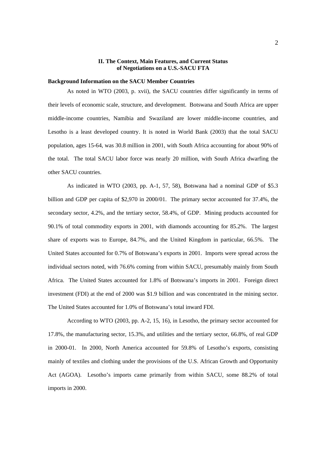# **II. The Context, Main Features, and Current Status of Negotiations on a U.S.-SACU FTA**

#### **Background Information on the SACU Member Countries**

As noted in WTO (2003, p. xvii), the SACU countries differ significantly in terms of their levels of economic scale, structure, and development. Botswana and South Africa are upper middle-income countries, Namibia and Swaziland are lower middle-income countries, and Lesotho is a least developed country. It is noted in World Bank (2003) that the total SACU population, ages 15-64, was 30.8 million in 2001, with South Africa accounting for about 90% of the total. The total SACU labor force was nearly 20 million, with South Africa dwarfing the other SACU countries.

 As indicated in WTO (2003, pp. A-1, 57, 58), Botswana had a nominal GDP of \$5.3 billion and GDP per capita of \$2,970 in 2000/01. The primary sector accounted for 37.4%, the secondary sector, 4.2%, and the tertiary sector, 58.4%, of GDP. Mining products accounted for 90.1% of total commodity exports in 2001, with diamonds accounting for 85.2%. The largest share of exports was to Europe, 84.7%, and the United Kingdom in particular, 66.5%. The United States accounted for 0.7% of Botswana's exports in 2001. Imports were spread across the individual sectors noted, with 76.6% coming from within SACU, presumably mainly from South Africa. The United States accounted for 1.8% of Botswana's imports in 2001. Foreign direct investment (FDI) at the end of 2000 was \$1.9 billion and was concentrated in the mining sector. The United States accounted for 1.0% of Botswana's total inward FDI.

 According to WTO (2003, pp. A-2, 15, 16), in Lesotho, the primary sector accounted for 17.8%, the manufacturing sector, 15.3%, and utilities and the tertiary sector, 66.8%, of real GDP in 2000-01. In 2000, North America accounted for 59.8% of Lesotho's exports, consisting mainly of textiles and clothing under the provisions of the U.S. African Growth and Opportunity Act (AGOA). Lesotho's imports came primarily from within SACU, some 88.2% of total imports in 2000.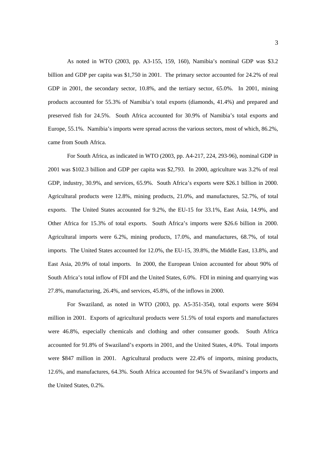As noted in WTO (2003, pp. A3-155, 159, 160), Namibia's nominal GDP was \$3.2 billion and GDP per capita was \$1,750 in 2001. The primary sector accounted for 24.2% of real GDP in 2001, the secondary sector, 10.8%, and the tertiary sector, 65.0%. In 2001, mining products accounted for 55.3% of Namibia's total exports (diamonds, 41.4%) and prepared and preserved fish for 24.5%. South Africa accounted for 30.9% of Namibia's total exports and Europe, 55.1%. Namibia's imports were spread across the various sectors, most of which, 86.2%, came from South Africa.

 For South Africa, as indicated in WTO (2003, pp. A4-217, 224, 293-96), nominal GDP in 2001 was \$102.3 billion and GDP per capita was \$2,793. In 2000, agriculture was 3.2% of real GDP, industry, 30.9%, and services, 65.9%. South Africa's exports were \$26.1 billion in 2000. Agricultural products were 12.8%, mining products, 21.0%, and manufactures, 52.7%, of total exports. The United States accounted for 9.2%, the EU-15 for 33.1%, East Asia, 14.9%, and Other Africa for 15.3% of total exports. South Africa's imports were \$26.6 billion in 2000. Agricultural imports were 6.2%, mining products, 17.0%, and manufactures, 68.7%, of total imports. The United States accounted for 12.0%, the EU-15, 39.8%, the Middle East, 13.8%, and East Asia, 20.9% of total imports. In 2000, the European Union accounted for about 90% of South Africa's total inflow of FDI and the United States, 6.0%. FDI in mining and quarrying was 27.8%, manufacturing, 26.4%, and services, 45.8%, of the inflows in 2000.

 For Swaziland, as noted in WTO (2003, pp. A5-351-354), total exports were \$694 million in 2001. Exports of agricultural products were 51.5% of total exports and manufactures were 46.8%, especially chemicals and clothing and other consumer goods. South Africa accounted for 91.8% of Swaziland's exports in 2001, and the United States, 4.0%. Total imports were \$847 million in 2001. Agricultural products were 22.4% of imports, mining products, 12.6%, and manufactures, 64.3%. South Africa accounted for 94.5% of Swaziland's imports and the United States, 0.2%.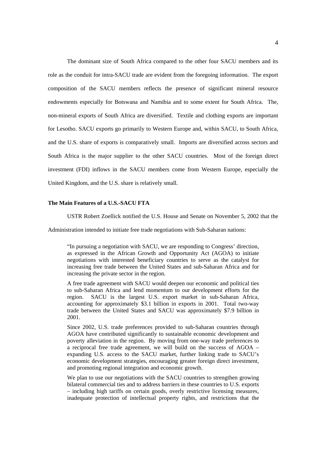The dominant size of South Africa compared to the other four SACU members and its role as the conduit for intra-SACU trade are evident from the foregoing information. The export composition of the SACU members reflects the presence of significant mineral resource endowments especially for Botswana and Namibia and to some extent for South Africa. The, non-mineral exports of South Africa are diversified. Textile and clothing exports are important for Lesotho. SACU exports go primarily to Western Europe and, within SACU, to South Africa, and the U.S. share of exports is comparatively small. Imports are diversified across sectors and South Africa is the major supplier to the other SACU countries. Most of the foreign direct investment (FDI) inflows in the SACU members come from Western Europe, especially the United Kingdom, and the U.S. share is relatively small.

# **The Main Features of a U.S.-SACU FTA**

USTR Robert Zoellick notified the U.S. House and Senate on November 5, 2002 that the

Administration intended to initiate free trade negotiations with Sub-Saharan nations:

"In pursuing a negotiation with SACU, we are responding to Congress' direction, as expressed in the African Growth and Opportunity Act (AGOA) to initiate negotiations with interested beneficiary countries to serve as the catalyst for increasing free trade between the United States and sub-Saharan Africa and for increasing the private sector in the region.

A free trade agreement with SACU would deepen our economic and political ties to sub-Saharan Africa and lend momentum to our development efforts for the region. SACU is the largest U.S. export market in sub-Saharan Africa, accounting for approximately \$3.1 billion in exports in 2001. Total two-way trade between the United States and SACU was approximately \$7.9 billion in 2001.

Since 2002, U.S. trade preferences provided to sub-Saharan countries through AGOA have contributed significantly to sustainable economic development and poverty alleviation in the region. By moving from one-way trade preferences to a reciprocal free trade agreement, we will build on the success of AGOA – expanding U.S. access to the SACU market, further linking trade to SACU's economic development strategies, encouraging greater foreign direct investment, and promoting regional integration and economic growth.

We plan to use our negotiations with the SACU countries to strengthen growing bilateral commercial ties and to address barriers in these countries to U.S. exports – including high tariffs on certain goods, overly restrictive licensing measures, inadequate protection of intellectual property rights, and restrictions that the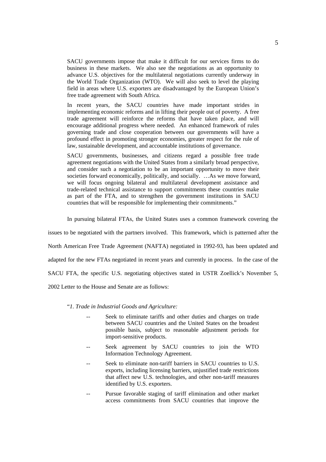SACU governments impose that make it difficult for our services firms to do business in these markets. We also see the negotiations as an opportunity to advance U.S. objectives for the multilateral negotiations currently underway in the World Trade Organization (WTO). We will also seek to level the playing field in areas where U.S. exporters are disadvantaged by the European Union's free trade agreement with South Africa.

In recent years, the SACU countries have made important strides in implementing economic reforms and in lifting their people out of poverty. A free trade agreement will reinforce the reforms that have taken place, and will encourage additional progress where needed. An enhanced framework of rules governing trade and close cooperation between our governments will have a profound effect in promoting stronger economies, greater respect for the rule of law, sustainable development, and accountable institutions of governance.

SACU governments, businesses, and citizens regard a possible free trade agreement negotiations with the United States from a similarly broad perspective, and consider such a negotiation to be an important opportunity to move their societies forward economically, politically, and socially. …As we move forward, we will focus ongoing bilateral and multilateral development assistance and trade-related technical assistance to support commitments these countries make as part of the FTA, and to strengthen the government institutions in SACU countries that will be responsible for implementing their commitments."

In pursuing bilateral FTAs, the United States uses a common framework covering the

issues to be negotiated with the partners involved. This framework, which is patterned after the North American Free Trade Agreement (NAFTA) negotiated in 1992-93, has been updated and adapted for the new FTAs negotiated in recent years and currently in process. In the case of the SACU FTA, the specific U.S. negotiating objectives stated in USTR Zoellick's November 5, 2002 Letter to the House and Senate are as follows:

#### "*1. Trade in Industrial Goods and Agriculture:*

- Seek to eliminate tariffs and other duties and charges on trade between SACU countries and the United States on the broadest possible basis, subject to reasonable adjustment periods for import-sensitive products.
- -- Seek agreement by SACU countries to join the WTO Information Technology Agreement.
- Seek to eliminate non-tariff barriers in SACU countries to U.S. exports, including licensing barriers, unjustified trade restrictions that affect new U.S. technologies, and other non-tariff measures identified by U.S. exporters.
- Pursue favorable staging of tariff elimination and other market access commitments from SACU countries that improve the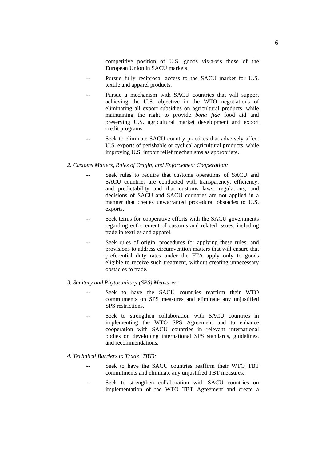competitive position of U.S. goods vis-à-vis those of the European Union in SACU markets.

- Pursue fully reciprocal access to the SACU market for U.S. textile and apparel products.
- Pursue a mechanism with SACU countries that will support achieving the U.S. objective in the WTO negotiations of eliminating all export subsidies on agricultural products, while maintaining the right to provide *bona fide* food aid and preserving U.S. agricultural market development and export credit programs.
- Seek to eliminate SACU country practices that adversely affect U.S. exports of perishable or cyclical agricultural products, while improving U.S. import relief mechanisms as appropriate.

# *2. Customs Matters, Rules of Origin, and Enforcement Cooperation:*

- Seek rules to require that customs operations of SACU and SACU countries are conducted with transparency, efficiency, and predictability and that customs laws, regulations, and decisions of SACU and SACU countries are not applied in a manner that creates unwarranted procedural obstacles to U.S. exports.
- -- Seek terms for cooperative efforts with the SACU governments regarding enforcement of customs and related issues, including trade in textiles and apparel.
- Seek rules of origin, procedures for applying these rules, and provisions to address circumvention matters that will ensure that preferential duty rates under the FTA apply only to goods eligible to receive such treatment, without creating unnecessary obstacles to trade.

### *3. Sanitary and Phytosanitary (SPS) Measures:*

- Seek to have the SACU countries reaffirm their WTO commitments on SPS measures and eliminate any unjustified SPS restrictions.
- Seek to strengthen collaboration with SACU countries in implementing the WTO SPS Agreement and to enhance cooperation with SACU countries in relevant international bodies on developing international SPS standards, guidelines, and recommendations.

### *4*. *Technical Barriers to Trade (TBT):*

- Seek to have the SACU countries reaffirm their WTO TBT commitments and eliminate any unjustified TBT measures.
- Seek to strengthen collaboration with SACU countries on implementation of the WTO TBT Agreement and create a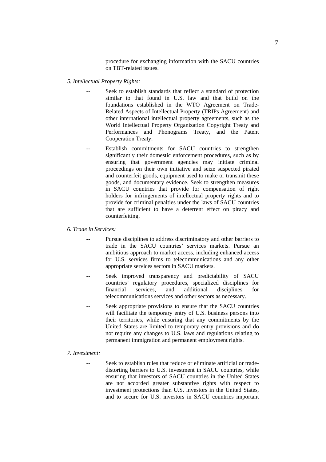procedure for exchanging information with the SACU countries on TBT-related issues.

- *5. Intellectual Property Rights:* 
	- Seek to establish standards that reflect a standard of protection similar to that found in U.S. law and that build on the foundations established in the WTO Agreement on Trade-Related Aspects of Intellectual Property (TRIPs Agreement) and other international intellectual property agreements, such as the World Intellectual Property Organization Copyright Treaty and Performances and Phonograms Treaty, and the Patent Cooperation Treaty.
	- Establish commitments for SACU countries to strengthen significantly their domestic enforcement procedures, such as by ensuring that government agencies may initiate criminal proceedings on their own initiative and seize suspected pirated and counterfeit goods, equipment used to make or transmit these goods, and documentary evidence. Seek to strengthen measures in SACU countries that provide for compensation of right holders for infringements of intellectual property rights and to provide for criminal penalties under the laws of SACU countries that are sufficient to have a deterrent effect on piracy and counterfeiting.

#### *6. Trade in Services:*

- Pursue disciplines to address discriminatory and other barriers to trade in the SACU countries' services markets. Pursue an ambitious approach to market access, including enhanced access for U.S. services firms to telecommunications and any other appropriate services sectors in SACU markets.
- Seek improved transparency and predictability of SACU countries' regulatory procedures, specialized disciplines for financial services, and additional disciplines for telecommunications services and other sectors as necessary.
- Seek appropriate provisions to ensure that the SACU countries will facilitate the temporary entry of U.S. business persons into their territories, while ensuring that any commitments by the United States are limited to temporary entry provisions and do not require any changes to U.S. laws and regulations relating to permanent immigration and permanent employment rights.

#### *7. Investment:*

Seek to establish rules that reduce or eliminate artificial or tradedistorting barriers to U.S. investment in SACU countries, while ensuring that investors of SACU countries in the United States are not accorded greater substantive rights with respect to investment protections than U.S. investors in the United States, and to secure for U.S. investors in SACU countries important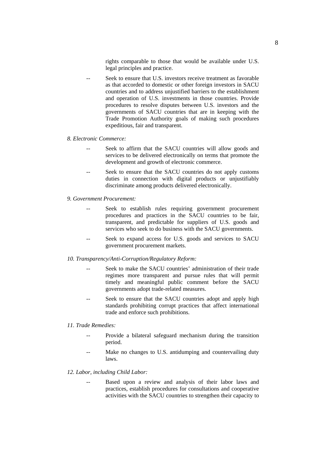rights comparable to those that would be available under U.S. legal principles and practice.

Seek to ensure that U.S. investors receive treatment as favorable as that accorded to domestic or other foreign investors in SACU countries and to address unjustified barriers to the establishment and operation of U.S. investments in those countries. Provide procedures to resolve disputes between U.S. investors and the governments of SACU countries that are in keeping with the Trade Promotion Authority goals of making such procedures expeditious, fair and transparent.

#### *8. Electronic Commerce:*

- -- Seek to affirm that the SACU countries will allow goods and services to be delivered electronically on terms that promote the development and growth of electronic commerce.
- Seek to ensure that the SACU countries do not apply customs duties in connection with digital products or unjustifiably discriminate among products delivered electronically.
- *9. Government Procurement:* 
	- Seek to establish rules requiring government procurement procedures and practices in the SACU countries to be fair, transparent, and predictable for suppliers of U.S. goods and services who seek to do business with the SACU governments.
	- -- Seek to expand access for U.S. goods and services to SACU government procurement markets.
- *10. Transparency/Anti-Corruption/Regulatory Reform:* 
	- Seek to make the SACU countries' administration of their trade regimes more transparent and pursue rules that will permit timely and meaningful public comment before the SACU governments adopt trade-related measures.
	- Seek to ensure that the SACU countries adopt and apply high standards prohibiting corrupt practices that affect international trade and enforce such prohibitions.
- *11. Trade Remedies:* 
	- Provide a bilateral safeguard mechanism during the transition period.
	- -- Make no changes to U.S. antidumping and countervailing duty laws.

# *12. Labor, including Child Labor:*

Based upon a review and analysis of their labor laws and practices, establish procedures for consultations and cooperative activities with the SACU countries to strengthen their capacity to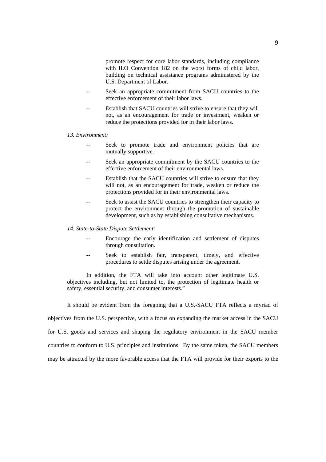promote respect for core labor standards, including compliance with ILO Convention 182 on the worst forms of child labor, building on technical assistance programs administered by the U.S. Department of Labor.

- Seek an appropriate commitment from SACU countries to the effective enforcement of their labor laws.
- Establish that SACU countries will strive to ensure that they will not, as an encouragement for trade or investment, weaken or reduce the protections provided for in their labor laws.

#### *13. Environment:*

- Seek to promote trade and environment policies that are mutually supportive.
- Seek an appropriate commitment by the SACU countries to the effective enforcement of their environmental laws.
- Establish that the SACU countries will strive to ensure that they will not, as an encouragement for trade, weaken or reduce the protections provided for in their environmental laws.
- Seek to assist the SACU countries to strengthen their capacity to protect the environment through the promotion of sustainable development, such as by establishing consultative mechanisms.

#### *14. State-to-State Dispute Settlement:*

- Encourage the early identification and settlement of disputes through consultation.
- Seek to establish fair, transparent, timely, and effective procedures to settle disputes arising under the agreement.

In addition, the FTA will take into account other legitimate U.S. objectives including, but not limited to, the protection of legitimate health or safety, essential security, and consumer interests."

It should be evident from the foregoing that a U.S.-SACU FTA reflects a myriad of

objectives from the U.S. perspective, with a focus on expanding the market access in the SACU

for U.S. goods and services and shaping the regulatory environment in the SACU member

countries to conform to U.S. principles and institutions. By the same token, the SACU members

may be attracted by the more favorable access that the FTA will provide for their exports to the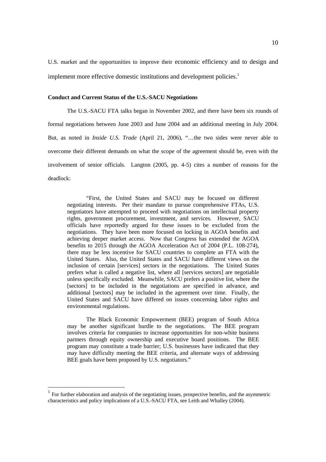U.S. market and the opportunities to improve their economic efficiency and to design and implement more effective domestic institutions and development policies.<sup>1</sup>

### **Conduct and Current Status of the U.S.-SACU Negotiations**

The U.S.-SACU FTA talks began in November 2002, and there have been six rounds of formal negotiations between June 2003 and June 2004 and an additional meeting in July 2004. But, as noted in *Inside U.S. Trade* (April 21, 2006), "…the two sides were never able to overcome their different demands on what the scope of the agreement should be, even with the involvement of senior officials. Langton (2005, pp. 4-5) cites a number of reasons for the deadlock:

 "First, the United States and SACU may be focused on different negotiating interests. Per their mandate to pursue comprehensive FTAs, U.S. negotiators have attempted to proceed with negotiations on intellectual property rights, government procurement, investment, and services. However, SACU officials have reportedly argued for these issues to be excluded from the negotiations. They have been more focused on locking in AGOA benefits and achieving deeper market access. Now that Congress has extended the AGOA benefits to 2015 through the AGOA Acceleration Act of 2004 (P.L. 108-274), there may be less incentive for SACU countries to complete an FTA with the United States. Also, the United States and SACU have different views on the inclusion of certain [services] sectors in the negotiations. The United States prefers what is called a negative list, where all [services sectors] are negotiable unless specifically excluded. Meanwhile, SACU prefers a positive list, where the [sectors] to be included in the negotiations are specified in advance, and additional [sectors] may be included in the agreement over time. Finally, the United States and SACU have differed on issues concerning labor rights and environmental regulations.

 The Black Economic Empowerment (BEE) program of South Africa may be another significant hurdle to the negotiations. The BEE program involves criteria for companies to increase opportunities for non-white business partners through equity ownership and executive board positions. The BEE program may constitute a trade barrier; U.S. businesses have indicated that they may have difficulty meeting the BEE criteria, and alternate ways of addressing BEE goals have been proposed by U.S. negotiators."

<sup>1</sup> For further elaboration and analysis of the negotiating issues, prospective benefits, and the asymmetric characteristics and policy implications of a U.S.-SACU FTA, see Leith and Whalley (2004).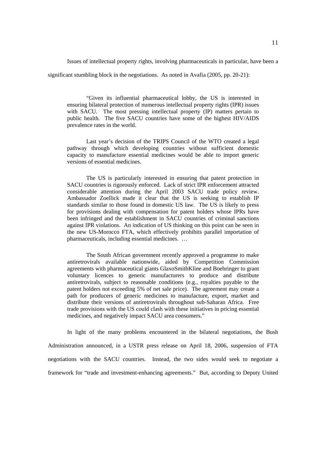Issues of intellectual property rights, involving pharmaceuticals in particular, have been a

significant stumbling block in the negotiations. As noted in Avafia (2005, pp. 20-21):

 "Given its influential pharmaceutical lobby, the US is interested in ensuring bilateral protection of numerous intellectual property rights (IPR) issues with SACU. The most pressing intellectual property (IP) matters pertain to public health. The five SACU countries have some of the highest HIV/AIDS prevalence rates in the world.

 Last year's decision of the TRIPS Council of the WTO created a legal pathway through which developing countries without sufficient domestic capacity to manufacture essential medicines would be able to import generic versions of essential medicines.

 The US is particularly interested in ensuring that patent protection in SACU countries is rigorously enforced. Lack of strict IPR enforcement attracted considerable attention during the April 2003 SACU trade policy review. Ambassador Zoellick made it clear that the US is seeking to establish IP standards similar to those found in domestic US law. The US is likely to press for provisions dealing with compensation for patent holders whose IPRs have been infringed and the establishment in SACU countries of criminal sanctions against IPR violations. An indication of US thinking on this point can be seen in the new US-Morocco FTA, which effectively prohibits parallel importation of pharmaceuticals, including essential medicines. …

 The South African government recently approved a programme to make antiretrovirals available nationwide, aided by Competition Commission agreements with pharmaceutical giants GlaxoSmithKline and Boehringer to grant voluntary licences to generic manufacturers to produce and distribute antiretrovirals, subject to reasonable conditions (e.g., royalties payable to the patent holders not exceeding 5% of net sale price). The agreement may create a path for producers of generic medicines to manufacture, export, market and distribute their versions of antiretrovirals throughout sub-Saharan Africa. Free trade provisions with the US could clash with these initiatives in pricing essential medicines, and negatively impact SACU area consumers."

 In light of the many problems encountered in the bilateral negotiations, the Bush Administration announced, in a USTR press release on April 18, 2006, suspension of FTA negotiations with the SACU countries. Instead, the two sides would seek to negotiate a framework for "trade and investment-enhancing agreements." But, according to Deputy United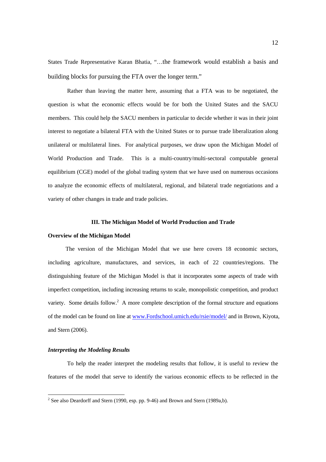States Trade Representative Karan Bhatia, "…the framework would establish a basis and building blocks for pursuing the FTA over the longer term."

 Rather than leaving the matter here, assuming that a FTA was to be negotiated, the question is what the economic effects would be for both the United States and the SACU members. This could help the SACU members in particular to decide whether it was in their joint interest to negotiate a bilateral FTA with the United States or to pursue trade liberalization along unilateral or multilateral lines. For analytical purposes, we draw upon the Michigan Model of World Production and Trade. This is a multi-country/multi-sectoral computable general equilibrium (CGE) model of the global trading system that we have used on numerous occasions to analyze the economic effects of multilateral, regional, and bilateral trade negotiations and a variety of other changes in trade and trade policies.

#### **III. The Michigan Model of World Production and Trade**

#### **Overview of the Michigan Model**

The version of the Michigan Model that we use here covers 18 economic sectors, including agriculture, manufactures, and services, in each of 22 countries/regions. The distinguishing feature of the Michigan Model is that it incorporates some aspects of trade with imperfect competition, including increasing returns to scale, monopolistic competition, and product variety. Some details follow.<sup>2</sup> A more complete description of the formal structure and equations of the model can be found on line at www.Fordschool.umich.edu/rsie/model/ and in Brown, Kiyota, and Stern (2006).

### *Interpreting the Modeling Results*

 $\overline{a}$ 

To help the reader interpret the modeling results that follow, it is useful to review the features of the model that serve to identify the various economic effects to be reflected in the

<sup>&</sup>lt;sup>2</sup> See also Deardorff and Stern (1990, esp. pp. 9-46) and Brown and Stern (1989a,b).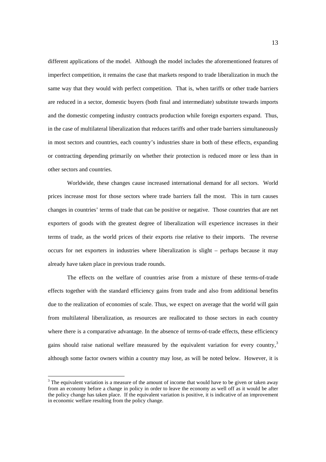different applications of the model. Although the model includes the aforementioned features of imperfect competition, it remains the case that markets respond to trade liberalization in much the same way that they would with perfect competition. That is, when tariffs or other trade barriers are reduced in a sector, domestic buyers (both final and intermediate) substitute towards imports and the domestic competing industry contracts production while foreign exporters expand. Thus, in the case of multilateral liberalization that reduces tariffs and other trade barriers simultaneously in most sectors and countries, each country's industries share in both of these effects, expanding or contracting depending primarily on whether their protection is reduced more or less than in other sectors and countries.

 Worldwide, these changes cause increased international demand for all sectors. World prices increase most for those sectors where trade barriers fall the most. This in turn causes changes in countries' terms of trade that can be positive or negative. Those countries that are net exporters of goods with the greatest degree of liberalization will experience increases in their terms of trade, as the world prices of their exports rise relative to their imports. The reverse occurs for net exporters in industries where liberalization is slight – perhaps because it may already have taken place in previous trade rounds.

 The effects on the welfare of countries arise from a mixture of these terms-of-trade effects together with the standard efficiency gains from trade and also from additional benefits due to the realization of economies of scale. Thus, we expect on average that the world will gain from multilateral liberalization, as resources are reallocated to those sectors in each country where there is a comparative advantage. In the absence of terms-of-trade effects, these efficiency gains should raise national welfare measured by the equivalent variation for every country, $3$ although some factor owners within a country may lose, as will be noted below. However, it is

 $3$  The equivalent variation is a measure of the amount of income that would have to be given or taken away from an economy before a change in policy in order to leave the economy as well off as it would be after the policy change has taken place. If the equivalent variation is positive, it is indicative of an improvement in economic welfare resulting from the policy change.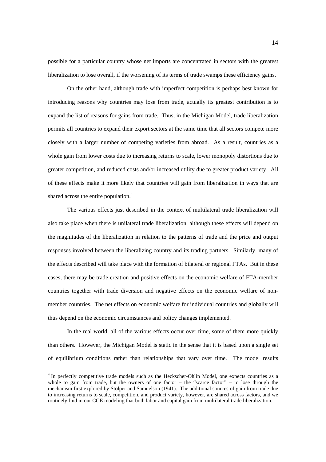possible for a particular country whose net imports are concentrated in sectors with the greatest liberalization to lose overall, if the worsening of its terms of trade swamps these efficiency gains.

 On the other hand, although trade with imperfect competition is perhaps best known for introducing reasons why countries may lose from trade, actually its greatest contribution is to expand the list of reasons for gains from trade. Thus, in the Michigan Model, trade liberalization permits all countries to expand their export sectors at the same time that all sectors compete more closely with a larger number of competing varieties from abroad. As a result, countries as a whole gain from lower costs due to increasing returns to scale, lower monopoly distortions due to greater competition, and reduced costs and/or increased utility due to greater product variety. All of these effects make it more likely that countries will gain from liberalization in ways that are shared across the entire population.<sup>4</sup>

 The various effects just described in the context of multilateral trade liberalization will also take place when there is unilateral trade liberalization, although these effects will depend on the magnitudes of the liberalization in relation to the patterns of trade and the price and output responses involved between the liberalizing country and its trading partners. Similarly, many of the effects described will take place with the formation of bilateral or regional FTAs. But in these cases, there may be trade creation and positive effects on the economic welfare of FTA-member countries together with trade diversion and negative effects on the economic welfare of nonmember countries. The net effects on economic welfare for individual countries and globally will thus depend on the economic circumstances and policy changes implemented.

In the real world, all of the various effects occur over time, some of them more quickly than others. However, the Michigan Model is static in the sense that it is based upon a single set of equilibrium conditions rather than relationships that vary over time. The model results

<sup>&</sup>lt;sup>4</sup> In perfectly competitive trade models such as the Heckscher-Ohlin Model, one expects countries as a whole to gain from trade, but the owners of one factor – the "scarce factor" – to lose through the mechanism first explored by Stolper and Samuelson (1941). The additional sources of gain from trade due to increasing returns to scale, competition, and product variety, however, are shared across factors, and we routinely find in our CGE modeling that both labor and capital gain from multilateral trade liberalization.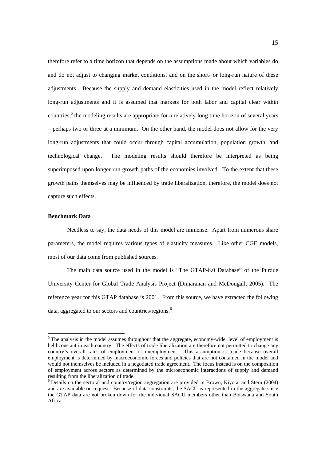therefore refer to a time horizon that depends on the assumptions made about which variables do and do not adjust to changing market conditions, and on the short- or long-run nature of these adjustments. Because the supply and demand elasticities used in the model reflect relatively long-run adjustments and it is assumed that markets for both labor and capital clear within countries,<sup>5</sup> the modeling results are appropriate for a relatively long time horizon of several years – perhaps two or three at a minimum. On the other hand, the model does not allow for the very long-run adjustments that could occur through capital accumulation, population growth, and technological change. The modeling results should therefore be interpreted as being superimposed upon longer-run growth paths of the economies involved. To the extent that these growth paths themselves may be influenced by trade liberalization, therefore, the model does not capture such effects.

# **Benchmark Data**

Needless to say, the data needs of this model are immense. Apart from numerous share parameters, the model requires various types of elasticity measures. Like other CGE models, most of our data come from published sources.

 The main data source used in the model is "The GTAP-6.0 Database" of the Purdue University Center for Global Trade Analysis Project (Dimaranan and McDougall, 2005). The reference year for this GTAP database is 2001. From this source, we have extracted the following data, aggregated to our sectors and countries/regions:<sup>6</sup>

 $<sup>5</sup>$  The analysis in the model assumes throughout that the aggregate, economy-wide, level of employment is</sup> held constant in each country. The effects of trade liberalization are therefore not permitted to change any country's overall rates of employment or unemployment. This assumption is made because overall employment is determined by macroeconomic forces and policies that are not contained in the model and would not themselves be included in a negotiated trade agreement. The focus instead is on the composition of employment across sectors as determined by the microeconomic interactions of supply and demand resulting from the liberalization of trade.

<sup>&</sup>lt;sup>6</sup> Details on the sectoral and country/region aggregation are provided in Brown, Kiyota, and Stern (2004) and are available on request. Because of data constraints, the SACU is represented in the aggregate since the GTAP data are not broken down for the individual SACU members other than Botswana and South Africa.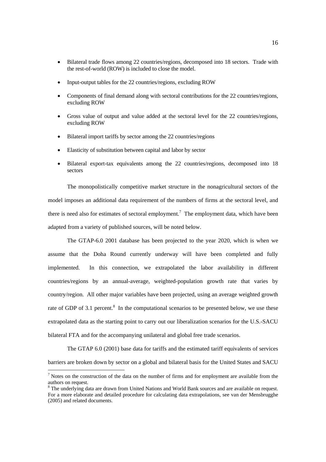- Bilateral trade flows among 22 countries/regions, decomposed into 18 sectors. Trade with the rest-of-world (ROW) is included to close the model.
- Input-output tables for the 22 countries/regions, excluding ROW
- Components of final demand along with sectoral contributions for the 22 countries/regions, excluding ROW
- Gross value of output and value added at the sectoral level for the 22 countries/regions, excluding ROW
- Bilateral import tariffs by sector among the 22 countries/regions
- Elasticity of substitution between capital and labor by sector
- Bilateral export-tax equivalents among the 22 countries/regions, decomposed into 18 sectors

The monopolistically competitive market structure in the nonagricultural sectors of the model imposes an additional data requirement of the numbers of firms at the sectoral level, and there is need also for estimates of sectoral employment.<sup>7</sup> The employment data, which have been adapted from a variety of published sources, will be noted below.

 The GTAP-6.0 2001 database has been projected to the year 2020, which is when we assume that the Doha Round currently underway will have been completed and fully implemented. In this connection, we extrapolated the labor availability in different countries/regions by an annual-average, weighted-population growth rate that varies by country/region. All other major variables have been projected, using an average weighted growth rate of GDP of 3.1 percent.<sup>8</sup> In the computational scenarios to be presented below, we use these extrapolated data as the starting point to carry out our liberalization scenarios for the U.S.-SACU bilateral FTA and for the accompanying unilateral and global free trade scenarios.

 The GTAP 6.0 (2001) base data for tariffs and the estimated tariff equivalents of services barriers are broken down by sector on a global and bilateral basis for the United States and SACU

<sup>&</sup>lt;sup>7</sup> Notes on the construction of the data on the number of firms and for employment are available from the authors on request.

<sup>&</sup>lt;sup>8</sup> The underlying data are drawn from United Nations and World Bank sources and are available on request. For a more elaborate and detailed procedure for calculating data extrapolations, see van der Mensbrugghe (2005) and related documents.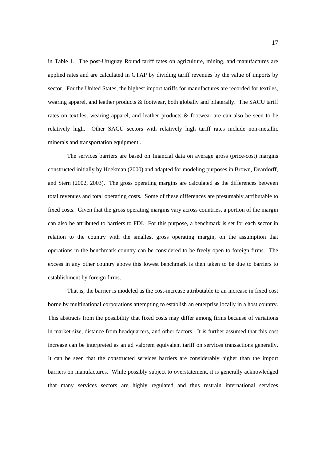in Table 1. The post-Uruguay Round tariff rates on agriculture, mining, and manufactures are applied rates and are calculated in GTAP by dividing tariff revenues by the value of imports by sector. For the United States, the highest import tariffs for manufactures are recorded for textiles, wearing apparel, and leather products & footwear, both globally and bilaterally. The SACU tariff rates on textiles, wearing apparel, and leather products & footwear are can also be seen to be relatively high. Other SACU sectors with relatively high tariff rates include non-metallic minerals and transportation equipment..

 The services barriers are based on financial data on average gross (price-cost) margins constructed initially by Hoekman (2000) and adapted for modeling purposes in Brown, Deardorff, and Stern (2002, 2003). The gross operating margins are calculated as the differences between total revenues and total operating costs. Some of these differences are presumably attributable to fixed costs. Given that the gross operating margins vary across countries, a portion of the margin can also be attributed to barriers to FDI. For this purpose, a benchmark is set for each sector in relation to the country with the smallest gross operating margin, on the assumption that operations in the benchmark country can be considered to be freely open to foreign firms. The excess in any other country above this lowest benchmark is then taken to be due to barriers to establishment by foreign firms.

 That is, the barrier is modeled as the cost-increase attributable to an increase in fixed cost borne by multinational corporations attempting to establish an enterprise locally in a host country. This abstracts from the possibility that fixed costs may differ among firms because of variations in market size, distance from headquarters, and other factors. It is further assumed that this cost increase can be interpreted as an ad valorem equivalent tariff on services transactions generally. It can be seen that the constructed services barriers are considerably higher than the import barriers on manufactures. While possibly subject to overstatement, it is generally acknowledged that many services sectors are highly regulated and thus restrain international services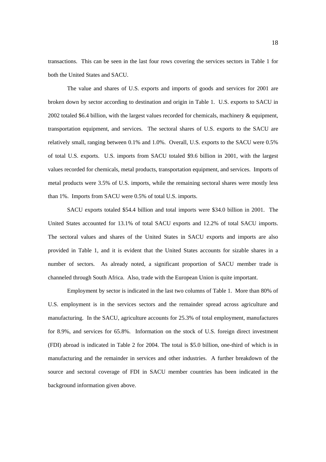transactions. This can be seen in the last four rows covering the services sectors in Table 1 for both the United States and SACU.

 The value and shares of U.S. exports and imports of goods and services for 2001 are broken down by sector according to destination and origin in Table 1. U.S. exports to SACU in 2002 totaled \$6.4 billion, with the largest values recorded for chemicals, machinery & equipment, transportation equipment, and services. The sectoral shares of U.S. exports to the SACU are relatively small, ranging between 0.1% and 1.0%. Overall, U.S. exports to the SACU were 0.5% of total U.S. exports. U.S. imports from SACU totaled \$9.6 billion in 2001, with the largest values recorded for chemicals, metal products, transportation equipment, and services. Imports of metal products were 3.5% of U.S. imports, while the remaining sectoral shares were mostly less than 1%. Imports from SACU were 0.5% of total U.S. imports.

 SACU exports totaled \$54.4 billion and total imports were \$34.0 billion in 2001. The United States accounted for 13.1% of total SACU exports and 12.2% of total SACU imports. The sectoral values and shares of the United States in SACU exports and imports are also provided in Table 1, and it is evident that the United States accounts for sizable shares in a number of sectors. As already noted, a significant proportion of SACU member trade is channeled through South Africa. Also, trade with the European Union is quite important.

 Employment by sector is indicated in the last two columns of Table 1. More than 80% of U.S. employment is in the services sectors and the remainder spread across agriculture and manufacturing. In the SACU, agriculture accounts for 25.3% of total employment, manufactures for 8.9%, and services for 65.8%. Information on the stock of U.S. foreign direct investment (FDI) abroad is indicated in Table 2 for 2004. The total is \$5.0 billion, one-third of which is in manufacturing and the remainder in services and other industries. A further breakdown of the source and sectoral coverage of FDI in SACU member countries has been indicated in the background information given above.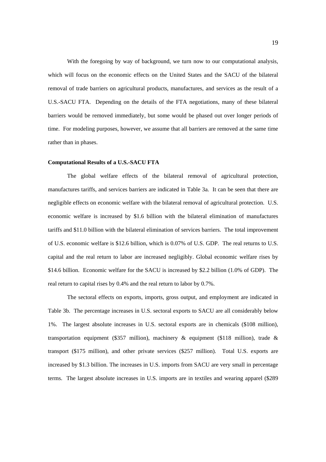With the foregoing by way of background, we turn now to our computational analysis, which will focus on the economic effects on the United States and the SACU of the bilateral removal of trade barriers on agricultural products, manufactures, and services as the result of a U.S.-SACU FTA. Depending on the details of the FTA negotiations, many of these bilateral barriers would be removed immediately, but some would be phased out over longer periods of time. For modeling purposes, however, we assume that all barriers are removed at the same time rather than in phases.

#### **Computational Results of a U.S.-SACU FTA**

The global welfare effects of the bilateral removal of agricultural protection, manufactures tariffs, and services barriers are indicated in Table 3a. It can be seen that there are negligible effects on economic welfare with the bilateral removal of agricultural protection. U.S. economic welfare is increased by \$1.6 billion with the bilateral elimination of manufactures tariffs and \$11.0 billion with the bilateral elimination of services barriers. The total improvement of U.S. economic welfare is \$12.6 billion, which is 0.07% of U.S. GDP. The real returns to U.S. capital and the real return to labor are increased negligibly. Global economic welfare rises by \$14.6 billion. Economic welfare for the SACU is increased by \$2.2 billion (1.0% of GDP). The real return to capital rises by 0.4% and the real return to labor by 0.7%.

 The sectoral effects on exports, imports, gross output, and employment are indicated in Table 3b. The percentage increases in U.S. sectoral exports to SACU are all considerably below 1%. The largest absolute increases in U.S. sectoral exports are in chemicals (\$108 million), transportation equipment (\$357 million), machinery  $\&$  equipment (\$118 million), trade  $\&$ transport (\$175 million), and other private services (\$257 million). Total U.S. exports are increased by \$1.3 billion. The increases in U.S. imports from SACU are very small in percentage terms. The largest absolute increases in U.S. imports are in textiles and wearing apparel (\$289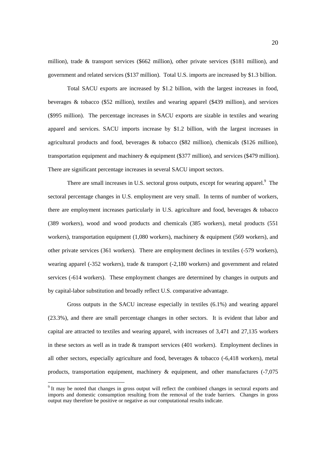million), trade & transport services (\$662 million), other private services (\$181 million), and government and related services (\$137 million). Total U.S. imports are increased by \$1.3 billion.

 Total SACU exports are increased by \$1.2 billion, with the largest increases in food, beverages & tobacco (\$52 million), textiles and wearing apparel (\$439 million), and services (\$995 million). The percentage increases in SACU exports are sizable in textiles and wearing apparel and services. SACU imports increase by \$1.2 billion, with the largest increases in agricultural products and food, beverages & tobacco (\$82 million), chemicals (\$126 million), transportation equipment and machinery & equipment (\$377 million), and services (\$479 million). There are significant percentage increases in several SACU import sectors.

There are small increases in U.S. sectoral gross outputs, except for wearing apparel.<sup>9</sup> The sectoral percentage changes in U.S. employment are very small. In terms of number of workers, there are employment increases particularly in U.S. agriculture and food, beverages & tobacco (389 workers), wood and wood products and chemicals (385 workers), metal products (551 workers), transportation equipment (1,080 workers), machinery & equipment (569 workers), and other private services (361 workers). There are employment declines in textiles (-579 workers), wearing apparel (-352 workers), trade & transport (-2,180 workers) and government and related services (-614 workers). These employment changes are determined by changes in outputs and by capital-labor substitution and broadly reflect U.S. comparative advantage.

Gross outputs in the SACU increase especially in textiles (6.1%) and wearing apparel (23.3%), and there are small percentage changes in other sectors. It is evident that labor and capital are attracted to textiles and wearing apparel, with increases of 3,471 and 27,135 workers in these sectors as well as in trade & transport services (401 workers). Employment declines in all other sectors, especially agriculture and food, beverages & tobacco (-6,418 workers), metal products, transportation equipment, machinery & equipment, and other manufactures (-7,075

<sup>&</sup>lt;sup>9</sup> It may be noted that changes in gross output will reflect the combined changes in sectoral exports and imports and domestic consumption resulting from the removal of the trade barriers. Changes in gross output may therefore be positive or negative as our computational results indicate.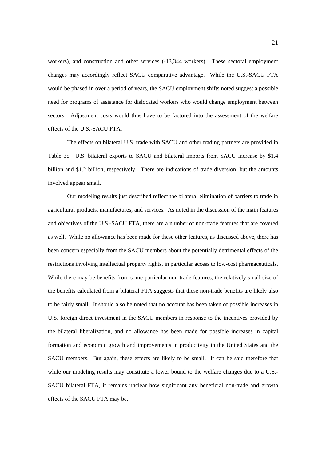workers), and construction and other services (-13,344 workers). These sectoral employment changes may accordingly reflect SACU comparative advantage. While the U.S.-SACU FTA would be phased in over a period of years, the SACU employment shifts noted suggest a possible need for programs of assistance for dislocated workers who would change employment between sectors. Adjustment costs would thus have to be factored into the assessment of the welfare effects of the U.S.-SACU FTA.

The effects on bilateral U.S. trade with SACU and other trading partners are provided in Table 3c. U.S. bilateral exports to SACU and bilateral imports from SACU increase by \$1.4 billion and \$1.2 billion, respectively. There are indications of trade diversion, but the amounts involved appear small.

Our modeling results just described reflect the bilateral elimination of barriers to trade in agricultural products, manufactures, and services. As noted in the discussion of the main features and objectives of the U.S.-SACU FTA, there are a number of non-trade features that are covered as well. While no allowance has been made for these other features, as discussed above, there has been concern especially from the SACU members about the potentially detrimental effects of the restrictions involving intellectual property rights, in particular access to low-cost pharmaceuticals. While there may be benefits from some particular non-trade features, the relatively small size of the benefits calculated from a bilateral FTA suggests that these non-trade benefits are likely also to be fairly small. It should also be noted that no account has been taken of possible increases in U.S. foreign direct investment in the SACU members in response to the incentives provided by the bilateral liberalization, and no allowance has been made for possible increases in capital formation and economic growth and improvements in productivity in the United States and the SACU members. But again, these effects are likely to be small. It can be said therefore that while our modeling results may constitute a lower bound to the welfare changes due to a U.S.-SACU bilateral FTA, it remains unclear how significant any beneficial non-trade and growth effects of the SACU FTA may be.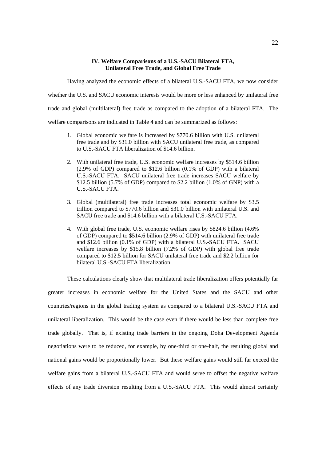# **IV. Welfare Comparisons of a U.S.-SACU Bilateral FTA, Unilateral Free Trade, and Global Free Trade**

Having analyzed the economic effects of a bilateral U.S.-SACU FTA, we now consider

whether the U.S. and SACU economic interests would be more or less enhanced by unilateral free

trade and global (multilateral) free trade as compared to the adoption of a bilateral FTA. The

welfare comparisons are indicated in Table 4 and can be summarized as follows:

- 1. Global economic welfare is increased by \$770.6 billion with U.S. unilateral free trade and by \$31.0 billion with SACU unilateral free trade, as compared to U.S.-SACU FTA liberalization of \$14.6 billion.
- 2. With unilateral free trade, U.S. economic welfare increases by \$514.6 billion (2.9% of GDP) compared to \$12.6 billion (0.1% of GDP) with a bilateral U.S.-SACU FTA. SACU unilateral free trade increases SACU welfare by \$12.5 billion (5.7% of GDP) compared to \$2.2 billion (1.0% of GNP) with a U.S.-SACU FTA.
- 3. Global (multilateral) free trade increases total economic welfare by \$3.5 trillion compared to \$770.6 billion and \$31.0 billion with unilateral U.S. and SACU free trade and \$14.6 billion with a bilateral U.S.-SACU FTA.
- 4. With global free trade, U.S. economic welfare rises by \$824.6 billion (4.6% of GDP) compared to \$514.6 billion (2.9% of GDP) with unilateral free trade and \$12.6 billion (0.1% of GDP) with a bilateral U.S.-SACU FTA. SACU welfare increases by \$15.8 billion (7.2% of GDP) with global free trade compared to \$12.5 billion for SACU unilateral free trade and \$2.2 billion for bilateral U.S.-SACU FTA liberalization.

These calculations clearly show that multilateral trade liberalization offers potentially far greater increases in economic welfare for the United States and the SACU and other countries/regions in the global trading system as compared to a bilateral U.S.-SACU FTA and unilateral liberalization. This would be the case even if there would be less than complete free trade globally. That is, if existing trade barriers in the ongoing Doha Development Agenda negotiations were to be reduced, for example, by one-third or one-half, the resulting global and national gains would be proportionally lower. But these welfare gains would still far exceed the welfare gains from a bilateral U.S.-SACU FTA and would serve to offset the negative welfare effects of any trade diversion resulting from a U.S.-SACU FTA. This would almost certainly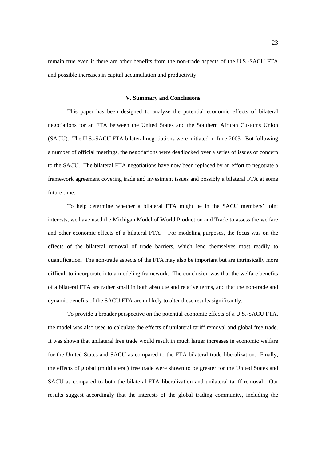remain true even if there are other benefits from the non-trade aspects of the U.S.-SACU FTA and possible increases in capital accumulation and productivity.

#### **V. Summary and Conclusions**

 This paper has been designed to analyze the potential economic effects of bilateral negotiations for an FTA between the United States and the Southern African Customs Union (SACU). The U.S.-SACU FTA bilateral negotiations were initiated in June 2003. But following a number of official meetings, the negotiations were deadlocked over a series of issues of concern to the SACU. The bilateral FTA negotiations have now been replaced by an effort to negotiate a framework agreement covering trade and investment issues and possibly a bilateral FTA at some future time.

To help determine whether a bilateral FTA might be in the SACU members' joint interests, we have used the Michigan Model of World Production and Trade to assess the welfare and other economic effects of a bilateral FTA. For modeling purposes, the focus was on the effects of the bilateral removal of trade barriers, which lend themselves most readily to quantification. The non-trade aspects of the FTA may also be important but are intrinsically more difficult to incorporate into a modeling framework. The conclusion was that the welfare benefits of a bilateral FTA are rather small in both absolute and relative terms, and that the non-trade and dynamic benefits of the SACU FTA are unlikely to alter these results significantly.

 To provide a broader perspective on the potential economic effects of a U.S.-SACU FTA, the model was also used to calculate the effects of unilateral tariff removal and global free trade. It was shown that unilateral free trade would result in much larger increases in economic welfare for the United States and SACU as compared to the FTA bilateral trade liberalization. Finally, the effects of global (multilateral) free trade were shown to be greater for the United States and SACU as compared to both the bilateral FTA liberalization and unilateral tariff removal. Our results suggest accordingly that the interests of the global trading community, including the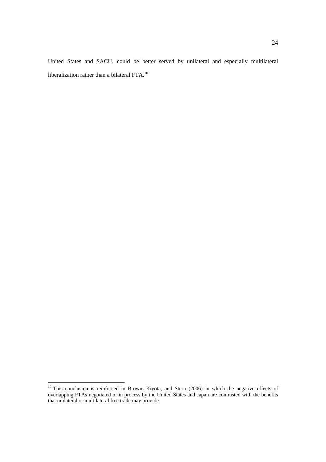United States and SACU, could be better served by unilateral and especially multilateral liberalization rather than a bilateral FTA.10

<sup>&</sup>lt;sup>10</sup> This conclusion is reinforced in Brown, Kiyota, and Stern (2006) in which the negative effects of overlapping FTAs negotiated or in process by the United States and Japan are contrasted with the benefits that unilateral or multilateral free trade may provide.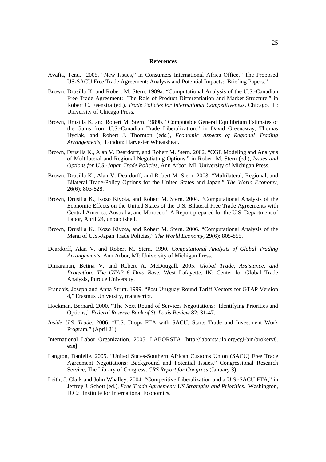#### **References**

- Avafia, Tenu. 2005. "New Issues," in Consumers International Africa Office, "The Proposed US-SACU Free Trade Agreement: Analysis and Potential Impacts: Briefing Papers."
- Brown, Drusilla K. and Robert M. Stern. 1989a. "Computational Analysis of the U.S.-Canadian Free Trade Agreement: The Role of Product Differentiation and Market Structure," in Robert C. Feenstra (ed.), *Trade Policies for International Competitiveness*, Chicago, IL: University of Chicago Press.
- Brown, Drusilla K. and Robert M. Stern. 1989b. "Computable General Equilibrium Estimates of the Gains from U.S.-Canadian Trade Liberalization," in David Greenaway, Thomas Hyclak, and Robert J. Thornton (eds.), *Economic Aspects of Regional Trading Arrangements*, London: Harvester Wheatsheaf.
- Brown, Drusilla K., Alan V. Deardorff, and Robert M. Stern. 2002. "CGE Modeling and Analysis of Multilateral and Regional Negotiating Options," in Robert M. Stern (ed.), *Issues and Options for U.S.-Japan Trade Policies*, Ann Arbor, MI: University of Michigan Press.
- Brown, Drusilla K., Alan V. Deardorff, and Robert M. Stern. 2003. "Multilateral, Regional, and Bilateral Trade-Policy Options for the United States and Japan," *The World Economy*, 26(6): 803-828.
- Brown, Drusilla K., Kozo Kiyota, and Robert M. Stern. 2004. "Computational Analysis of the Economic Effects on the United States of the U.S. Bilateral Free Trade Agreements with Central America, Australia, and Morocco." A Report prepared for the U.S. Department of Labor, April 24, unpublished.
- Brown, Drusilla K., Kozo Kiyota, and Robert M. Stern. 2006. "Computational Analysis of the Menu of U.S.-Japan Trade Policies," *The World Economy,* 29(6): 805-855.
- Deardorff, Alan V. and Robert M. Stern. 1990. *Computational Analysis of Global Trading Arrangements.* Ann Arbor, MI: University of Michigan Press.
- Dimaranan, Betina V. and Robert A. McDougall. 2005. *Global Trade, Assistance, and Protection: The GTAP 6 Data Base.* West Lafayette, IN: Center for Global Trade Analysis, Purdue University.
- Francois, Joseph and Anna Strutt. 1999. "Post Uruguay Round Tariff Vectors for GTAP Version 4," Erasmus University, manuscript.
- Hoekman, Bernard. 2000. "The Next Round of Services Negotiations: Identifying Priorities and Options," *Federal Reserve Bank of St. Louis Review* 82: 31-47.
- *Inside U.S. Trade.* 2006. "U.S. Drops FTA with SACU, Starts Trade and Investment Work Program," (April 21).
- International Labor Organization. 2005. LABORSTA [http://laborsta.ilo.org/cgi-bin/brokerv8. exe].
- Langton, Danielle. 2005. "United States-Southern African Customs Union (SACU) Free Trade Agreement Negotiations: Background and Potential Issues," Congressional Research Service, The Library of Congress, *CRS Report for Congress* (January 3).
- Leith, J. Clark and John Whalley. 2004. "Competitive Liberalization and a U.S.-SACU FTA," in Jeffrey J. Schott (ed.), *Free Trade Agreement: US Strategies and Priorities.* Washington, D.C.: Institute for International Economics.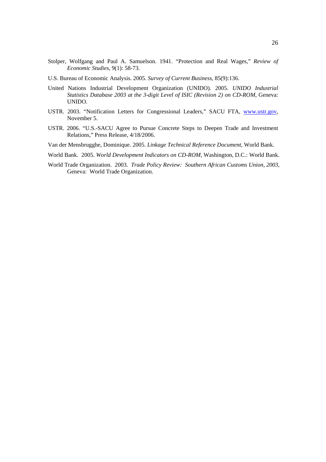- Stolper, Wolfgang and Paul A. Samuelson. 1941. "Protection and Real Wages," *Review of Economic Studies*, 9(1): 58-73.
- U.S. Bureau of Economic Analysis. 2005. *Survey of Current Business*, 85(9):136.
- United Nations Industrial Development Organization (UNIDO). 2005. *UNIDO Industrial Statistics Database 2003 at the 3-digit Level of ISIC (Revision 2) on CD-ROM*, Geneva: UNIDO.
- USTR. 2003. "Notification Letters for Congressional Leaders," SACU FTA, www.ustr.gov, November 5.
- USTR. 2006. "U.S.-SACU Agree to Pursue Concrete Steps to Deepen Trade and Investment Relations," Press Release, 4/18/2006.
- Van der Mensbrugghe, Dominique. 2005. *Linkage Technical Reference Document*, World Bank.
- World Bank. 2005. *World Development Indicators on CD-ROM*, Washington, D.C.: World Bank.
- World Trade Organization. 2003. *Trade Policy Review: Southern African Customs Union, 2003*, Geneva: World Trade Organization.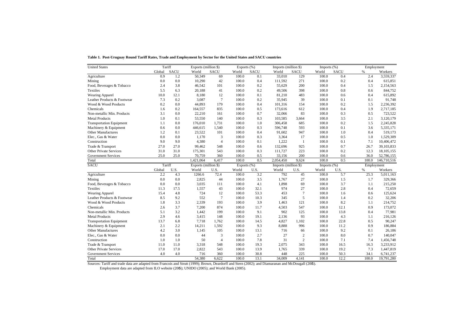| <b>United States</b>            |        | Tariff      | Exports (million \$) |                | Exports (%) |             | Imports (million \$) |                | Imports $(\%)$ |             |            | Employment  |
|---------------------------------|--------|-------------|----------------------|----------------|-------------|-------------|----------------------|----------------|----------------|-------------|------------|-------------|
|                                 | Global | <b>SACU</b> | World                | <b>SACU</b>    | World       | <b>SACU</b> | World                | <b>SACU</b>    | World          | <b>SACU</b> | $\%$       | Workers     |
| Agriculture                     | 0.9    | 1.2         | 50,349               | 69             | 100.0       | 0.1         | 33,010               | 129            | 100.0          | 0.4         | 2.4        | 3,559,337   |
| Mining                          | 0.0    | 0.0         | 10,290               | 42             | 100.0       | 0.4         | 111,592              | 271            | 100.0          | 0.2         | 0.4        | 615,851     |
| Food, Beverages & Tobacco       | 2.4    | 3.8         | 46,542               | 101            | 100.0       | 0.2         | 55,629               | 200            | 100.0          | 0.4         | 1.5        | 2,154,563   |
| Textiles                        | 5.5    | 6.3         | 20,188               | 41             | 100.0       | 0.2         | 49,506               | 398            | 100.0          | 0.8         | 0.6        | 844,752     |
| Wearing Apparel                 | 10.0   | 12.1        | 8,180                | 12             | 100.0       | 0.1         | 81,210               | 483            | 100.0          | 0.6         | 0.4        | 615,892     |
| Leather Products & Footwear     | 7.3    | 0.2         | 3,087                | $\tau$         | 100.0       | 0.2         | 35,945               | 39             | 100.0          | 0.1         | 0.1        | 91,748      |
| Wood & Wood Products            | 0.2    | 0.0         | 44,893               | 179            | 100.0       | 0.4         | 101,316              | 154            | 100.0          | 0.2         | 1.5        | 2,236,392   |
| Chemicals                       | 1.6    | 0.2         | 164,557              | 835            | 100.0       | 0.5         | 173,616              | 612            | 100.0          | 0.4         | 1.9        | 2,717,185   |
| Non-metallic Min. Products      | 3.1    | 0.0         | 22,210               | 161            | 100.0       | 0.7         | 32,066               | 83             | 100.0          | 0.3         | 0.5        | 723,522     |
| <b>Metal Products</b>           | 1.0    | 0.1         | 53,550               | 140            | 100.0       | 0.3         | 103,585              | 3,664          | 100.0          | 3.5         | 2.1        | 3.120.179   |
| <b>Transportation Equipment</b> | 1.1    | 0.0         | 176,010              | 1,731          | 100.0       | 1.0         | 306,458              | 685            | 100.0          | 0.2         | 1.5        | 2,245,828   |
| Machinery & Equipment           | 0.6    | 0.0         | 446,615              | 1,540          | 100.0       | 0.3         | 596,748              | 593            | 100.0          | 0.1         | 3.6        | 5,335,171   |
| Other Manufactures              | 1.2    | 0.1         | 23,522               | 101            | 100.0       | 0.4         | 91,602               | 947            | 100.0          | 1.0         | 0.4        | 519,173     |
| Elec., Gas & Water              | 0.0    | 0.0         | 1,170                | 3              | 100.0       | 0.3         | 3,364                | 17             | 100.0          | 0.5         | 1.0        | 1,529,309   |
| Construction                    | 9.0    | 9.0         | 4,380                | $\overline{4}$ | 100.0       | 0.1         | 1,222                | $\mathbf{1}$   | 100.0          | 0.1         | 7.1        | 10,406,472  |
| Trade & Transport               | 27.0   | 27.0        | 99,462               | 548            | 100.0       | 0.6         | 132,696              | 925            | 100.0          | 0.7         | 26.7       | 39,103,833  |
| <b>Other Private Services</b>   | 31.0   | 31.0        | 175,301              | 543            | 100.0       | 0.3         | 111,727              | 223            | 100.0          | 0.2         | 12.3       | 18,105,155  |
| <b>Government Services</b>      | 25.0   | 25.0        | 70,759               | 360            | 100.0       | 0.5         | 33,156               | 200            | 100.0          | 0.6         | 36.0       | 52,786,155  |
| Total                           |        |             | 1,421,064            | 6,417          | 100.0       | 0.5         | 2,054,450            | 9,624          | 100.0          | 0.5         | 100.0      | 146,710,516 |
| <b>SACU</b>                     |        | Tariff      | Exports (million \$) |                | Exports (%) |             | Imports (million \$) |                | Imports $(\%)$ |             | Employment |             |
|                                 | Global | U.S.        | World                | U.S.           | World       | U.S.        | World                | U.S.           | World          | U.S.        | %          | Workers     |
| Agriculture                     | 2.2    | 4.3         | 1266.6               | 72.4           | 100.0       | 3.2         | 792                  | 45             | 100.0          | 5.7         | 25.3       | 5,011,163   |
| Mining                          | 0.0    | 0.0         | 2,825                | 44             | 100.0       | 3.5         | 1,767                | 27             | 100.0          | 1.5         | 1.7        | 329,366     |
| Food, Beverages & Tobacco       | 0.0    | 0.0         | 3,035                | 111            | 100.0       | 4.1         | 1,898                | 69             | 100.0          | 3.7         | 1.1        | 215,250     |
| <b>Textiles</b>                 | 11.3   | 17.5        | 1,557                | 43             | 100.0       | 32.1        | 974                  | 27             | 100.0          | 2.8         | 0.4        | 72,659      |
| Wearing Apparel                 | 15.4   | 4.8         | 724                  | 12             | 100.0       | 53.3        | 453                  | $\tau$         | 100.0          | 1.6         | 0.6        | 125,624     |
| Leather Products & Footwear     | 8.5    | 9.2         | 552                  | 7              | 100.0       | 10.3        | 345                  | 5              | 100.0          | 1.4         | 0.2        | 32,206      |
| Wood & Wood Products            | 1.8    | 3.3         | 2,339                | 193            | 100.0       | 3.9         | 1,463                | 121            | 100.0          | 8.2         | 1.1        | 214,752     |
| Chemicals                       | 2.6    | 3.7         | 7,200                | 874            | 100.0       | 11.7        | 4,503                | 547            | 100.0          | 12.1        | 0.9        | 173,072     |
| Non-metallic Min. Products      | 5.1    | 3.2         | 1,442                | 199            | 100.0       | 9.1         | 902                  | 125            | 100.0          | 13.8        | 0.4        | 77,981      |
| <b>Metal Products</b>           | 2.9    | 4.6         | 3,415                | 148            | 100.0       | 19.1        | 2,136                | 93             | 100.0          | 4.3         | 1.1        | 216,126     |
| <b>Transportation Equipment</b> | 13.7   | 6.8         | 7,718                | 1,762          | 100.0       | 14.5        | 4,827                | 1,102          | 100.0          | 22.8        | 0.5        | 90,247      |
| Machinery & Equipment           | 2.1    | 2.2         | 14,211               | 1,592          | 100.0       | 9.3         | 8,888                | 996            | 100.0          | 11.2        | 0.9        | 186,884     |
| Other Manufactures              | 4.2    | 3.0         | 1,145                | 105            | 100.0       | 13.1        | 716                  | 66             | 100.0          | 9.2         | 0.1        | 26,186      |
| Elec., Gas & Water              | 0.0    | 0.0         | 44                   | 3              | 100.0       | 2.7         | 27                   | $\overline{2}$ | 100.0          | 8.0         | 0.7        | 140,047     |
| Construction                    | 1.0    | 1.0         | 50                   | $\overline{4}$ | 100.0       | 7.8         | 31                   | $\overline{c}$ | 100.0          | 7.1         | 7.4        | 1,456,748   |
| Trade & Transport               | 11.0   | 11.0        | 3,318                | 548            | 100.0       | 19.3        | 2,075                | 343            | 100.0          | 16.5        | 16.3       | 3,233,912   |
| <b>Other Private Services</b>   | 17.0   | 17.0        | 2,822                | 543            | 100.0       | 13.9        | 1,765                | 339            | 100.0          | 19.2        | 7.3        | 1,447,819   |
|                                 |        |             |                      |                |             |             |                      |                |                |             |            |             |
| <b>Government Services</b>      | 4.0    | 4.0         | 716                  | 360            | 100.0       | 30.8        | 448                  | 225            | 100.0          | 50.3        | 34.1       | 6,741,237   |

**Table 1. Post-Uruguay Round Tariff Rates, Trade and Employment by Sector for the United States and SACU countries**

Sources: Tariff and trade data are adapted from Francois and Strutt (1999); Brown, Deardorff and Stern (2002); and Diamaranan and McDougall (2005).

Employment data are adapted from ILO website (2005); UNIDO (2005); and World Bank (2005).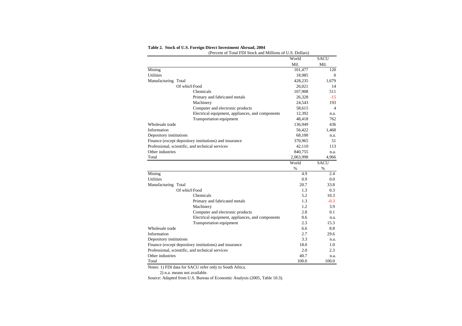|                         | (Percent of Total FDI Stock and Millions of U.S. Dollars) |           |              |
|-------------------------|-----------------------------------------------------------|-----------|--------------|
|                         |                                                           | World     | <b>SACU</b>  |
|                         |                                                           | Mil.      | Mil.         |
| Mining                  |                                                           | 101,477   | 120          |
| <b>Utilities</b>        |                                                           | 18,985    | $\mathbf{0}$ |
| Manufacturing Total     |                                                           | 428,235   | 1,679        |
|                         | Of which Food                                             | 26,021    | 14           |
|                         | Chemicals                                                 | 107,908   | 511          |
|                         | Primary and fabricated metals                             | 26,328    | $-15$        |
|                         | Machinery                                                 | 24,543    | 193          |
|                         | Computer and electronic products                          | 58,615    | 4            |
|                         | Electrical equipment, appliances, and components          | 12,392    | n.a.         |
|                         | Transportation equipment                                  | 48,418    | 762          |
| Wholesale trade         |                                                           | 136,949   | 436          |
| Information             |                                                           | 56,422    | 1,468        |
| Depository institutions |                                                           | 68,100    | n.a.         |
|                         | Finance (except depository institutions) and insurance    | 370,965   | 51           |
|                         | Professional, scientific, and technical services          | 42,110    | 113          |
| Other industries        |                                                           | 840,755   | n.a.         |
| Total                   |                                                           | 2,063,998 | 4,966        |
|                         |                                                           | World     | <b>SACU</b>  |
|                         |                                                           | $\%$      | $\%$         |
| Mining                  |                                                           | 4.9       | 2.4          |
| <b>Utilities</b>        |                                                           | 0.9       | 0.0          |
| Manufacturing Total     |                                                           | 20.7      | 33.8         |
|                         | Of which Food                                             | 1.3       | 0.3          |
|                         | Chemicals                                                 | 5.2       | 10.3         |
|                         | Primary and fabricated metals                             | 1.3       | $-0.3$       |
|                         | Machinery                                                 | 1.2       | 3.9          |
|                         | Computer and electronic products                          | 2.8       | 0.1          |
|                         | Electrical equipment, appliances, and components          | 0.6       | n.a.         |
|                         | Transportation equipment                                  | 2.3       | 15.3         |
| Wholesale trade         |                                                           | 6.6       | 8.8          |
| Information             |                                                           | 2.7       | 29.6         |
| Depository institutions |                                                           | 3.3       | n.a.         |
|                         | Finance (except depository institutions) and insurance    | 18.0      | 1.0          |
|                         | Professional, scientific, and technical services          | 2.0       | 2.3          |
| Other industries        |                                                           | 40.7      | n.a.         |
| Total                   |                                                           | 100.0     | 100.0        |

#### **Table 2. Stock of U.S. Foreign Direct Investment Abroad, 2004**

Notes: 1) FDI data for SACU refer only to South Aftica.

2) n.a. means not available.

Source: Adapted from U.S. Bureau of Economic Analysis (2005, Table 10.3).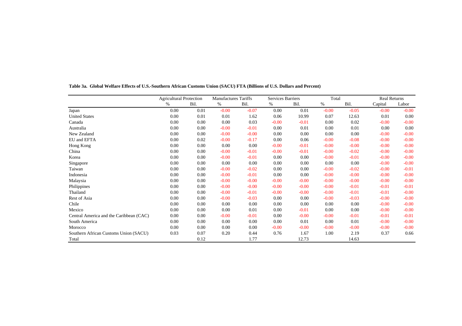|                                         | <b>Agricultural Protection</b> |      | Manufactures Tariffs |         | Services Barriers |         | Total   |          | <b>Real Returns</b> |         |
|-----------------------------------------|--------------------------------|------|----------------------|---------|-------------------|---------|---------|----------|---------------------|---------|
|                                         | $\%$                           | Bil. | %                    | Bil.    | %                 | Bil.    | %       | Bil.     | Capital             | Labor   |
| Japan                                   | 0.00                           | 0.01 | $-0.00$              | $-0.07$ | 0.00              | 0.01    | $-0.00$ | $-0.05$  | $-0.00$             | $-0.00$ |
| <b>United States</b>                    | 0.00                           | 0.01 | 0.01                 | 1.62    | 0.06              | 10.99   | 0.07    | 12.63    | 0.01                | 0.00    |
| Canada                                  | 0.00                           | 0.00 | 0.00                 | 0.03    | $-0.00$           | $-0.01$ | 0.00    | 0.02     | $-0.00$             | $-0.00$ |
| Australia                               | 0.00                           | 0.00 | $-0.00$              | $-0.01$ | 0.00              | 0.01    | 0.00    | 0.01     | 0.00                | 0.00    |
| New Zealand                             | 0.00                           | 0.00 | $-0.00$              | $-0.00$ | 0.00              | 0.00    | 0.00    | $0.00\,$ | $-0.00$             | $-0.00$ |
| EU and EFTA                             | 0.00                           | 0.02 | $-0.00$              | $-0.17$ | 0.00              | 0.06    | $-0.00$ | $-0.08$  | $-0.00$             | $-0.00$ |
| Hong Kong                               | 0.00                           | 0.00 | 0.00                 | 0.00    | $-0.00$           | $-0.01$ | $-0.00$ | $-0.00$  | $-0.00$             | $-0.00$ |
| China                                   | 0.00                           | 0.00 | $-0.00$              | $-0.01$ | $-0.00$           | $-0.01$ | $-0.00$ | $-0.02$  | $-0.00$             | $-0.00$ |
| Korea                                   | 0.00                           | 0.00 | $-0.00$              | $-0.01$ | 0.00              | 0.00    | $-0.00$ | $-0.01$  | $-0.00$             | $-0.00$ |
| Singapore                               | 0.00                           | 0.00 | 0.00                 | 0.00    | 0.00              | 0.00    | 0.00    | $0.00\,$ | $-0.00$             | $-0.00$ |
| Taiwan                                  | 0.00                           | 0.00 | $-0.00$              | $-0.02$ | 0.00              | 0.00    | $-0.00$ | $-0.02$  | $-0.00$             | $-0.01$ |
| Indonesia                               | 0.00                           | 0.00 | $-0.00$              | $-0.01$ | 0.00              | 0.00    | $-0.00$ | $-0.00$  | $-0.00$             | $-0.00$ |
| Malaysia                                | 0.00                           | 0.00 | $-0.00$              | $-0.00$ | $-0.00$           | $-0.00$ | $-0.00$ | $-0.00$  | $-0.00$             | $-0.00$ |
| Philippines                             | 0.00                           | 0.00 | $-0.00$              | $-0.00$ | $-0.00$           | $-0.00$ | $-0.00$ | $-0.01$  | $-0.01$             | $-0.01$ |
| Thailand                                | 0.00                           | 0.00 | $-0.00$              | $-0.01$ | $-0.00$           | $-0.00$ | $-0.00$ | $-0.01$  | $-0.01$             | $-0.00$ |
| Rest of Asia                            | 0.00                           | 0.00 | $-0.00$              | $-0.03$ | 0.00              | 0.00    | $-0.00$ | $-0.03$  | $-0.00$             | $-0.00$ |
| Chile                                   | 0.00                           | 0.00 | 0.00                 | 0.00    | 0.00              | 0.00    | 0.00    | 0.00     | $-0.00$             | $-0.00$ |
| Mexico                                  | 0.00                           | 0.00 | 0.00                 | 0.01    | 0.00              | $-0.01$ | 0.00    | 0.00     | $-0.00$             | $-0.00$ |
| Central America and the Caribbean (CAC) | 0.00                           | 0.00 | $-0.00$              | $-0.01$ | 0.00              | $-0.00$ | $-0.00$ | $-0.01$  | $-0.01$             | $-0.01$ |
| South America                           | 0.00                           | 0.00 | 0.00                 | 0.00    | 0.00              | 0.01    | 0.00    | 0.01     | $-0.00$             | $-0.00$ |
| Morocco                                 | 0.00                           | 0.00 | 0.00                 | 0.00    | $-0.00$           | $-0.00$ | $-0.00$ | $-0.00$  | $-0.00$             | $-0.00$ |
| Southern African Customs Union (SACU)   | 0.03                           | 0.07 | 0.20                 | 0.44    | 0.76              | 1.67    | 1.00    | 2.19     | 0.37                | 0.66    |
| Total                                   |                                | 0.12 |                      | 1.77    |                   | 12.73   |         | 14.63    |                     |         |

**Table 3a. Global Welfare Effects of U.S.-Southern African Customs Union (SACU) FTA (Billions of U.S. Dollars and Percent)**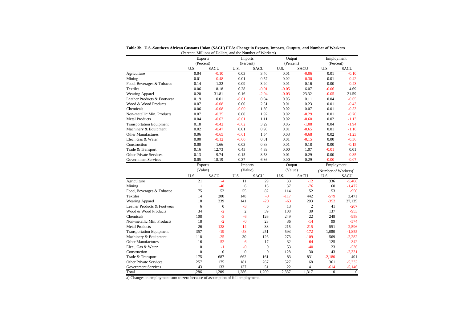|                                 | (Percent, Millions of Dollars, and the Number of Workers) |              |                |                |           |                |                                  |             |  |
|---------------------------------|-----------------------------------------------------------|--------------|----------------|----------------|-----------|----------------|----------------------------------|-------------|--|
|                                 | <b>Exports</b>                                            |              | Imports        |                | Output    |                | Employment                       |             |  |
|                                 | (Percent)                                                 |              | (Percent)      |                | (Percent) |                | (Percent)                        |             |  |
|                                 | U.S.                                                      | <b>SACU</b>  | U.S.           | SACU           | U.S.      | <b>SACU</b>    | U.S.                             | <b>SACU</b> |  |
| Agriculture                     | 0.04                                                      | $-0.10$      | 0.03           | 3.40           | 0.01      | $-0.06$        | 0.01                             | $-0.10$     |  |
| Mining                          | 0.01                                                      | $-0.48$      | 0.01           | 0.57           | 0.02      | $-0.30$        | 0.01                             | $-0.42$     |  |
| Food, Beverages & Tobacco       | 0.14                                                      | 1.32         | 0.09           | 3.20           | 0.01      | 0.16           | 0.00                             | $-0.43$     |  |
| Textiles                        | 0.06                                                      | 18.18        | 0.28           | $-0.01$        | $-0.05$   | 6.07           | $-0.06$                          | 4.69        |  |
| <b>Wearing Apparel</b>          | 0.20                                                      | 31.81        | 0.16           | $-2.94$        | $-0.03$   | 23.32          | $-0.05$                          | 21.59       |  |
| Leather Products & Footwear     | 0.19                                                      | 0.01         | $-0.01$        | 0.94           | 0.05      | 0.11           | 0.04                             | $-0.65$     |  |
| Wood & Wood Products            | 0.07                                                      | $-0.08$      | 0.00           | 2.51           | 0.01      | 0.23           | 0.01                             | $-0.43$     |  |
| Chemicals                       | 0.06                                                      | $-0.08$      | $-0.00$        | 1.89           | 0.02      | 0.07           | 0.01                             | $-0.53$     |  |
| Non-metallic Min. Products      | 0.07                                                      | $-0.35$      | 0.00           | 1.92           | 0.02      | $-0.29$        | 0.01                             | $-0.70$     |  |
| <b>Metal Products</b>           | 0.04                                                      | $-0.62$      | $-0.01$        | 1.11           | 0.02      | $-0.60$        | 0.02                             | $-1.13$     |  |
| <b>Transportation Equipment</b> | 0.18                                                      | $-0.42$      | $-0.02$        | 3.29           | 0.05      | $-1.08$        | 0.04                             | $-1.94$     |  |
| Machinery & Equipment           | 0.02                                                      | $-0.47$      | 0.01           | 0.90           | 0.01      | $-0.65$        | 0.01                             | $-1.16$     |  |
| <b>Other Manufactures</b>       | 0.06                                                      | $-0.65$      | $-0.01$        | 1.54           | 0.03      | $-0.68$        | 0.02                             | $-1.23$     |  |
| Elec., Gas & Water              | 0.00                                                      | $-0.12$      | $-0.00$        | 0.81           | 0.01      | $-0.15$        | 0.00                             | $-0.36$     |  |
| Construction                    | 0.00                                                      | 1.66         | 0.03           | 0.88           | 0.01      | 0.18           | 0.00                             | $-0.15$     |  |
| Trade & Transport               | 0.16                                                      | 12.73        | 0.45           | 4.39           | 0.00      | 1.07           | $-0.01$                          | 0.01        |  |
| <b>Other Private Services</b>   | 0.13                                                      | 9.74         | 0.15           | 8.53           | 0.01      | 0.29           | 0.00                             | $-0.35$     |  |
| <b>Government Services</b>      | 0.05                                                      | 18.19        | 0.37           | 6.36           | 0.00      | 0.29           | $-0.00$                          | $-0.07$     |  |
|                                 | <b>Exports</b>                                            |              | <b>Imports</b> |                | Output    |                | Employment                       |             |  |
|                                 | (Value)                                                   |              | (Value)        |                | (Value)   |                | (Number of Workers) <sup>a</sup> |             |  |
|                                 | U.S.                                                      | <b>SACU</b>  | U.S.           | <b>SACU</b>    | U.S.      | <b>SACU</b>    | U.S.                             | <b>SACU</b> |  |
| Agriculture                     | 21                                                        | $-4$         | 11             | 29             | 33        | $-12$          | 336                              | $-5.468$    |  |
| Mining                          | $\mathbf{1}$                                              | $-40$        | 6              | 16             | 37        | $-76$          | 60                               | $-1,477$    |  |
| Food, Beverages & Tobacco       | 75                                                        | 52           | 55             | 82             | 114       | 52             | 53                               | $-950$      |  |
| Textiles                        | 14                                                        | 200          | 148            | $-0$           | $-117$    | 442            | $-579$                           | 3,471       |  |
| <b>Wearing Apparel</b>          | 18                                                        | 239          | 141            | $-20$          | $-63$     | 293            | $-352$                           | 27,135      |  |
| Leather Products & Footwear     | 6                                                         | $\mathbf{0}$ | $-3$           | 6              | 13        | $\overline{2}$ | 41                               | $-207$      |  |
| Wood & Wood Products            | 34                                                        | $-2$         | $\overline{2}$ | 39             | 108       | 39             | 137                              | $-953$      |  |
| Chemicals                       | 108                                                       | $-3$         | $-6$           | 126            | 249       | 22             | 248                              | $-958$      |  |
| Non-metallic Min. Products      | 18                                                        | $-2$         | $-0$           | 23             | 36        | $-14$          | 99                               | $-574$      |  |
| <b>Metal Products</b>           | 26                                                        | $-128$       | $-14$          | 33             | 215       | $-215$         | 551                              | $-2.596$    |  |
| <b>Transportation Equipment</b> | 357                                                       | $-19$        | $-58$          | 251            | 593       | $-172$         | 1,080                            | $-1,855$    |  |
| Machinery & Equipment           | 118                                                       | $-25$        | 30             | 126            | 273       | $-109$         | 569                              | $-2,282$    |  |
|                                 |                                                           |              |                | 17             | 32        | $-64$          | 125                              | $-342$      |  |
| <b>Other Manufactures</b>       | 16                                                        | $-52$        | $-6$           |                |           |                |                                  |             |  |
| Elec., Gas & Water              | $\mathbf{0}$                                              | $-1$         | $-0$           | $\overline{0}$ | 53        | $-40$          | 23                               | $-536$      |  |
| Construction                    | $\mathbf{0}$                                              | $\mathbf{0}$ | $\overline{0}$ | $\overline{0}$ | 128       | 30             | 43                               | $-2,331$    |  |
| Trade & Transport               | 175                                                       | 687          | 662            | 161            | 83        | 831            | $-2,180$                         | 401         |  |
| <b>Other Private Services</b>   | 257                                                       | 175          | 181            | 267            | 527       | 168            | 361                              | $-5,332$    |  |
| <b>Government Services</b>      | 43                                                        | 133          | 137            | 51             | 22        | 141            | -614                             | $-5,146$    |  |

**Table 3b. U.S.-Southern African Customs Union (SACU) FTA: Change in Exports, Imports, Outputs, and Number of Workers**

a) Changes in employment sum to zero because of assumption of full employment.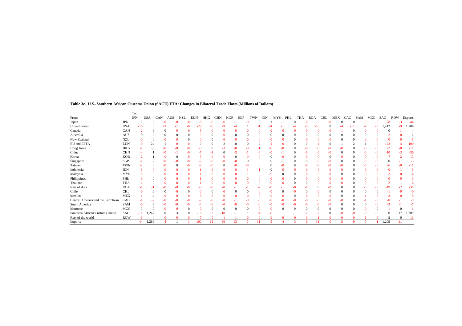|                                   |            | T <sub>0</sub> |            |      |       |            |            |       |            |            |      |            |               |      |                   |      |      |            |      |     |      |          |      |          |          |            |         |
|-----------------------------------|------------|----------------|------------|------|-------|------------|------------|-------|------------|------------|------|------------|---------------|------|-------------------|------|------|------------|------|-----|------|----------|------|----------|----------|------------|---------|
| From                              |            | <b>JPN</b>     | <b>USA</b> | CAN  | AUS   | <b>NZL</b> | <b>EUN</b> | HKG   | <b>CHN</b> | <b>KOR</b> | SGP  | <b>TWN</b> | <b>IDN</b>    |      | <b>MYS</b><br>PHL |      | THA  | <b>ROA</b> | CHL  | MEX | CAC  | SAM      |      | MCC      | SAC      | <b>ROW</b> | Exports |
| Japan                             | <b>JPN</b> | $\Omega$       |            | -0   |       |            | -8         |       |            |            |      | -0         | $\Omega$      |      |                   |      |      | $-0$       | -0   |     |      | $\Omega$ |      | -በ       | $-28$    | -3         | $-44$   |
| <b>United States</b>              | <b>USA</b> | $-16$          |            | -3   |       |            | $-29$      | -6    |            |            |      |            |               |      |                   |      | $-3$ | $-18$      |      |     |      | -11      |      | $-0$     | 1,412    | -9         | 1,286   |
| Canada                            | CAN        | $-2$           |            |      |       |            | -5         |       | -0         |            |      |            | -ሰ            |      |                   |      |      | -0         | -0   |     |      |          |      |          |          |            |         |
| Australia                         | AUS        | $\Omega$       |            |      |       |            | $-0$       |       | -0         |            |      |            | $\Omega$      |      | -0                |      |      |            |      |     |      |          |      |          |          |            |         |
| New Zealand                       | <b>NZL</b> | -0             | $\Omega$   | -0   | -0    |            | $-0$       |       | -0         |            | $-0$ |            | -0            | -0   | $-0$              |      | $-0$ | $-0$       | $-0$ |     |      |          | -0   |          |          |            |         |
| EU and EFTA                       | <b>EUN</b> | -0             | 24         |      |       | $-0$       |            |       |            |            |      |            | $\mathcal{L}$ |      | -0                |      |      |            |      |     |      |          |      |          | 22       |            | $-100$  |
| Hong Kong                         | HKG        |                | -0         | -0   | $-0$  | $-0$       | $-3$       |       | -3         |            |      |            |               | -0   | $-0$              |      | $-0$ | $-0$       | $-0$ |     |      |          |      |          | $-2$     |            | $-11$   |
| China                             | <b>CHN</b> |                |            | -0   |       |            |            |       |            |            |      |            |               |      |                   |      |      | $\Omega$   |      |     |      |          |      |          | -10      |            | $-36$   |
| Korea                             | <b>KOR</b> |                |            | -0   |       |            | $-3$       |       |            |            |      |            | -ሰ            |      | -0                |      | $-0$ | -0         |      |     |      |          |      | -0       |          |            | $-13$   |
| Singapore                         | SGP        |                |            | -0   |       |            |            |       |            |            |      |            | $\Omega$      |      |                   |      |      | $-0$       |      |     |      |          |      |          | $\Omega$ |            | $-3$    |
| Taiwan                            | <b>TWN</b> | $-2$           |            | -0   |       |            |            |       |            |            |      |            | $^{\circ}$    |      | -0                |      |      | $-0$       | -0   |     |      |          |      |          | -6       |            | $-11$   |
| Indonesia                         | <b>IDN</b> |                | -0         | -0   | -0    | $-0$       | ٠l         | -0    | -0         |            |      |            |               |      | $-0$              |      | $-0$ | $-0$       | $-0$ |     |      |          |      | -0       | -0       |            | -5      |
| Malaysia                          | <b>MYS</b> | -0             |            | -0   | -0    |            |            |       |            |            |      |            | $\Omega$      |      | -0                |      |      | -0         |      |     |      |          |      |          |          |            |         |
| Philippines                       | PHL        | -0             |            | -0   |       | $-0$       |            |       | -0         |            |      |            |               |      | -0                |      | $-0$ | $-0$       | $-0$ |     |      |          |      |          | ብ        |            | $-3$    |
| Thailand                          | THA        |                |            | -0   |       |            |            |       |            |            |      |            | -0            |      | -0                |      |      | $\Omega$   | -0   |     |      |          |      |          |          |            | -6      |
| Rest of Asia                      | <b>ROA</b> |                |            | -0   | -0    | $-0$       | $-3$       |       | -0         |            |      |            |               | -0   |                   | -0   | $-0$ | $\theta$   | $-0$ |     |      |          |      |          | $-19$    |            | $-31$   |
| Chile                             | <b>CHL</b> | -0             |            |      | $-()$ |            | $-0$       |       | -0         |            |      |            | -0            |      | -0                | -0   |      | $-0$       |      |     |      |          |      | $\Omega$ |          |            | -0      |
| Mexico                            | <b>MEX</b> |                |            | -0   |       |            | -3         |       | -0         |            |      |            | -0            |      | -0                |      |      | $-0$       |      |     |      |          |      |          |          |            | -5      |
| Central America and the Caribbean | CAC        |                |            | -0   | -0    | $-0$       | $-2$       |       | -0         |            |      |            | -0            | -0   | -0                | -0   | $-0$ | $-0$       | $-0$ |     |      |          |      |          |          |            | -9      |
| South America                     | SAM        |                |            | -0   |       |            |            |       |            |            |      |            | -0            |      | -0                |      | $-0$ | -0         |      |     |      |          |      |          |          |            | $-7$    |
| Morocco                           | MCC        | $\Omega$       |            |      |       |            | $-0$       |       |            |            |      |            | -0            | -0   | $\Omega$          |      |      | $^{\circ}$ |      |     |      |          |      |          |          |            |         |
| Southern African Customs Union    | <b>SAC</b> | -11            | 1,247      |      | 3     |            | $-16$      |       | $-18$      |            |      |            |               | -0   |                   |      | $-2$ |            |      |     |      |          |      | -0       | $\Omega$ |            | 1,209   |
| Rest of the world                 | <b>ROW</b> |                | $-4$       | $-0$ | $-0$  | $-0$       | $-7$       | $-0$  | $^{-1}$    |            |      | $-0$       | $-0$          | $-0$ | $-0$              | $-0$ | $-0$ | $-1$       | $-0$ |     | $-0$ | $-0$     | нt   | $-0$     |          | $\Omega$   | $-11$   |
| Imports                           |            | $-44$          | 1,286      | $-4$ |       |            | $-100$     | $-11$ | $-36$      | $-13$      | $-3$ | $-11$      |               | $-5$ | -4                | $-3$ | -6   | $-31$      | $-0$ |     | $-5$ | $-9$     | $-7$ | -1       | 1,209    | $-11$      |         |

**Table 3c. U.S.-Southern African Customs Union (SACU) FTA: Changes in Bilateral Trade Flows (Millions of Dollars)**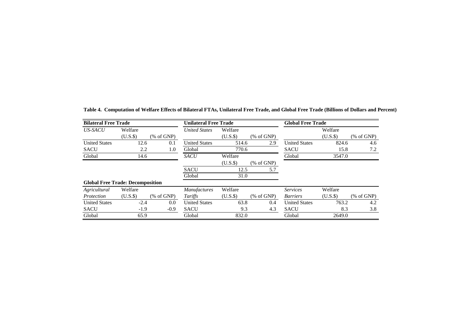| <b>Bilateral Free Trade</b>             |            |             | <b>Unilateral Free Trade</b> |          |          | <b>Global Free Trade</b> |            |          |  |  |  |
|-----------------------------------------|------------|-------------|------------------------------|----------|----------|--------------------------|------------|----------|--|--|--|
| US-SACU                                 | Welfare    |             | <b>United States</b>         | Welfare  |          |                          | Welfare    |          |  |  |  |
|                                         | $(U.S.$ \$ | $%$ of GNP) |                              | $(U.S.\$ | % of GNP |                          | $(U.S.$ \$ | % of GNP |  |  |  |
| <b>United States</b>                    | 12.6       | 0.1         | <b>United States</b>         | 514.6    | 2.9      | <b>United States</b>     | 824.6      | 4.6      |  |  |  |
| <b>SACU</b>                             | 2.2        | 1.0         | Global                       | 770.6    |          | <b>SACU</b>              | 15.8       | 7.2      |  |  |  |
| Global                                  | 14.6       |             | <b>SACU</b>                  | Welfare  |          | Global                   | 3547.0     |          |  |  |  |
|                                         |            |             |                              | $(U.S.\$ | % of GNP |                          |            |          |  |  |  |
|                                         |            |             | <b>SACU</b>                  | 12.5     | 5.7      |                          |            |          |  |  |  |
|                                         |            |             | Global                       | 31.0     |          |                          |            |          |  |  |  |
| <b>Global Free Trade: Decomposition</b> |            |             |                              |          |          |                          |            |          |  |  |  |
| Agricultural                            | Welfare    |             | <b>Manufactures</b>          | Welfare  |          | <b>Services</b>          | Welfare    |          |  |  |  |
| Protection                              | $(U.S.$ \$ | $%$ of GNP) | Tariffs                      | (U.S.    | % of GNP | <b>Barriers</b>          | $(U.S.\$   | % of GNP |  |  |  |
| <b>United States</b>                    | $-2.4$     | 0.0         | <b>United States</b>         | 63.8     | 0.4      | <b>United States</b>     | 763.2      | 4.2      |  |  |  |
| <b>SACU</b>                             | $-1.9$     | $-0.9$      | <b>SACU</b>                  | 9.3      | 4.3      | <b>SACU</b>              | 8.3        | 3.8      |  |  |  |
| Global                                  | 65.9       |             | Global                       | 832.0    |          | Global                   | 2649.0     |          |  |  |  |

**Table 4. Computation of Welfare Effects of Bilateral FTAs, Unilateral Free Trade, and Global Free Trade (Billions of Dollars and Percent)**